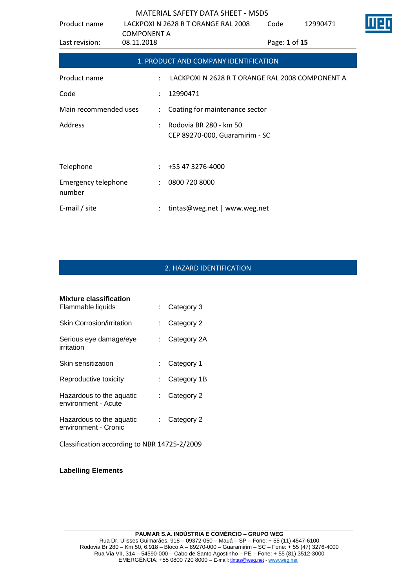| Product name                         | LACKPOXI N 2628 R T ORANGE RAL 2008<br><b>COMPONENT A</b><br>08.11.2018 |                                                          | Code          | 12990471 |  |
|--------------------------------------|-------------------------------------------------------------------------|----------------------------------------------------------|---------------|----------|--|
| Last revision:                       |                                                                         |                                                          | Page: 1 of 15 |          |  |
|                                      |                                                                         | 1. PRODUCT AND COMPANY IDENTIFICATION                    |               |          |  |
| Product name                         | $\ddot{\phantom{0}}$                                                    | LACKPOXI N 2628 R T ORANGE RAL 2008 COMPONENT A          |               |          |  |
| Code                                 | $\ddot{\phantom{a}}$                                                    | 12990471                                                 |               |          |  |
| Main recommended uses                | ÷                                                                       | Coating for maintenance sector                           |               |          |  |
| Address                              |                                                                         | Rodovia BR 280 - km 50<br>CEP 89270-000, Guaramirim - SC |               |          |  |
|                                      |                                                                         |                                                          |               |          |  |
| Telephone                            |                                                                         | +55 47 3276-4000                                         |               |          |  |
| <b>Emergency telephone</b><br>number | $\ddot{\phantom{a}}$                                                    | 0800 720 8000                                            |               |          |  |
| E-mail / site                        |                                                                         | tintas@weg.net   www.weg.net                             |               |          |  |

# 2. HAZARD IDENTIFICATION

| <b>Mixture classification</b>                    |    |             |
|--------------------------------------------------|----|-------------|
| Flammable liquids                                |    | Category 3  |
| <b>Skin Corrosion/irritation</b>                 |    | Category 2  |
| Serious eye damage/eye<br>irritation             |    | Category 2A |
| Skin sensitization                               |    | Category 1  |
| Reproductive toxicity                            |    | Category 1B |
| Hazardous to the aquatic<br>environment - Acute  |    | Category 2  |
| Hazardous to the aquatic<br>environment - Cronic | t. | Category 2  |
| Classification according to NBR 14725-2/2009     |    |             |

**Labelling Elements**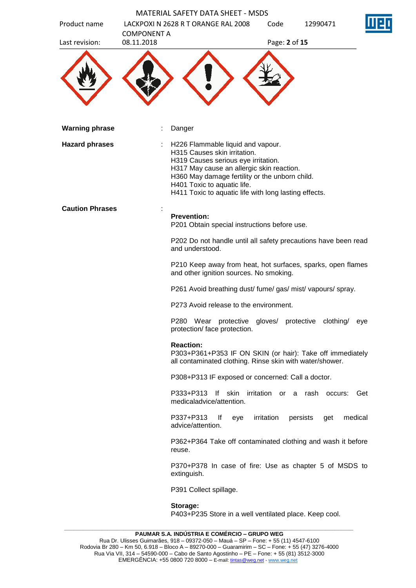| Product name           | <b>COMPONENT A</b> | <b>MATERIAL SAFETY DATA SHEET - MSDS</b><br>LACKPOXI N 2628 R T ORANGE RAL 2008                                                                                                                                                                                                                 | Code          | 12990471                   |     |
|------------------------|--------------------|-------------------------------------------------------------------------------------------------------------------------------------------------------------------------------------------------------------------------------------------------------------------------------------------------|---------------|----------------------------|-----|
| Last revision:         | 08.11.2018         |                                                                                                                                                                                                                                                                                                 | Page: 2 of 15 |                            |     |
|                        |                    |                                                                                                                                                                                                                                                                                                 |               |                            |     |
| <b>Warning phrase</b>  |                    | Danger                                                                                                                                                                                                                                                                                          |               |                            |     |
| <b>Hazard phrases</b>  |                    | H226 Flammable liquid and vapour.<br>H315 Causes skin irritation.<br>H319 Causes serious eye irritation.<br>H317 May cause an allergic skin reaction.<br>H360 May damage fertility or the unborn child.<br>H401 Toxic to aquatic life.<br>H411 Toxic to aquatic life with long lasting effects. |               |                            |     |
| <b>Caution Phrases</b> |                    | <b>Prevention:</b><br>P201 Obtain special instructions before use.                                                                                                                                                                                                                              |               |                            |     |
|                        |                    | P202 Do not handle until all safety precautions have been read<br>and understood.                                                                                                                                                                                                               |               |                            |     |
|                        |                    | P210 Keep away from heat, hot surfaces, sparks, open flames<br>and other ignition sources. No smoking.                                                                                                                                                                                          |               |                            |     |
|                        |                    | P261 Avoid breathing dust/ fume/ gas/ mist/ vapours/ spray.                                                                                                                                                                                                                                     |               |                            |     |
|                        |                    | P273 Avoid release to the environment.                                                                                                                                                                                                                                                          |               |                            |     |
|                        |                    | P280<br>Wear protective gloves/ protective<br>protection/ face protection.                                                                                                                                                                                                                      |               | clothing/                  | eye |
|                        |                    | <b>Reaction:</b><br>P303+P361+P353 IF ON SKIN (or hair): Take off immediately<br>all contaminated clothing. Rinse skin with water/shower.                                                                                                                                                       |               |                            |     |
|                        |                    | P308+P313 IF exposed or concerned: Call a doctor.                                                                                                                                                                                                                                               |               |                            |     |
|                        |                    | lf skin<br>P333+P313<br>medicaladvice/attention.                                                                                                                                                                                                                                                | irritation    | or a rash<br>occurs:       | Get |
|                        |                    | P337+P313<br>lf<br>eye<br>advice/attention.                                                                                                                                                                                                                                                     | irritation    | persists<br>medical<br>get |     |
|                        |                    | P362+P364 Take off contaminated clothing and wash it before<br>reuse.                                                                                                                                                                                                                           |               |                            |     |
|                        |                    | P370+P378 In case of fire: Use as chapter 5 of MSDS to<br>extinguish.                                                                                                                                                                                                                           |               |                            |     |
|                        |                    | P391 Collect spillage.                                                                                                                                                                                                                                                                          |               |                            |     |
|                        |                    | Storage:<br>P403+P235 Store in a well ventilated place. Keep cool.                                                                                                                                                                                                                              |               |                            |     |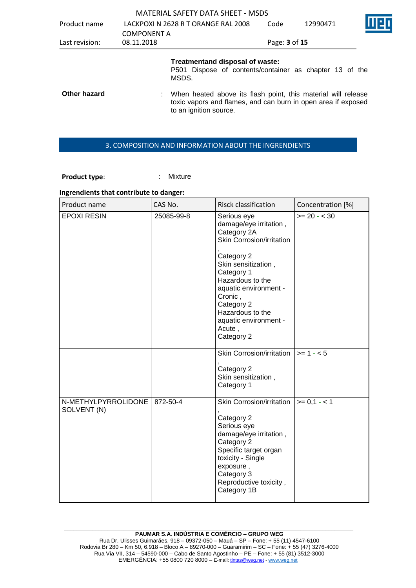|                |                    | <b>MATERIAL SAFETY DATA SHEET - MSDS</b>                                                                                                                 |               |          |  |
|----------------|--------------------|----------------------------------------------------------------------------------------------------------------------------------------------------------|---------------|----------|--|
| Product name   |                    | LACKPOXI N 2628 R T ORANGE RAL 2008                                                                                                                      |               | 12990471 |  |
|                | <b>COMPONENT A</b> |                                                                                                                                                          |               |          |  |
| Last revision: | 08.11.2018         |                                                                                                                                                          | Page: 3 of 15 |          |  |
|                |                    | Treatmentand disposal of waste:<br>P501 Dispose of contents/container as chapter 13 of the<br>MSDS.                                                      |               |          |  |
| Other hazard   |                    | When heated above its flash point, this material will release<br>toxic vapors and flames, and can burn in open area if exposed<br>to an ignition source. |               |          |  |

#### 3. COMPOSITION AND INFORMATION ABOUT THE INGRENDIENTS

Product type: **: Mixture** 

# **Ingrendients that contribute to danger:**

| Product name                       | CAS No.        | <b>Risck classification</b>                                                                                                                                                         | Concentration [%] |
|------------------------------------|----------------|-------------------------------------------------------------------------------------------------------------------------------------------------------------------------------------|-------------------|
| <b>EPOXI RESIN</b>                 | 25085-99-8     | Serious eye<br>damage/eye irritation,<br>Category 2A<br>Skin Corrosion/irritation<br>Category 2                                                                                     | $>= 20 - < 30$    |
|                                    |                | Skin sensitization,<br>Category 1<br>Hazardous to the<br>aquatic environment -<br>Cronic,<br>Category 2                                                                             |                   |
|                                    |                | Hazardous to the<br>aquatic environment -<br>Acute,<br>Category 2                                                                                                                   |                   |
|                                    |                | Skin Corrosion/irritation                                                                                                                                                           | $>= 1 - 5$        |
|                                    |                | Category 2<br>Skin sensitization,<br>Category 1                                                                                                                                     |                   |
| N-METHYLPYRROLIDONE<br>SOLVENT (N) | $872 - 50 - 4$ | <b>Skin Corrosion/irritation</b>                                                                                                                                                    | $>= 0,1 - 1$      |
|                                    |                | Category 2<br>Serious eye<br>damage/eye irritation,<br>Category 2<br>Specific target organ<br>toxicity - Single<br>exposure,<br>Category 3<br>Reproductive toxicity,<br>Category 1B |                   |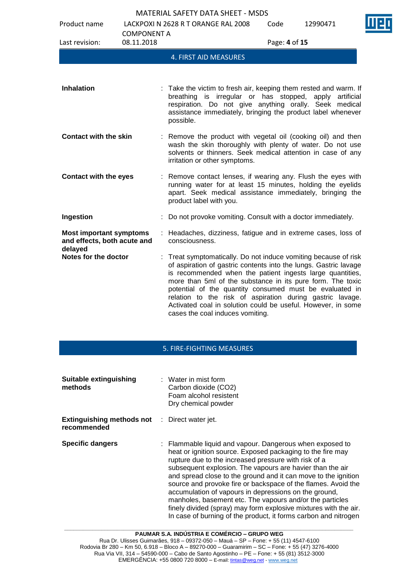Product name LACKPOXI N 2628 R T ORANGE RAL 2008

Code 12990471



| Last revision:                                                           | <b>COMPONENT A</b><br>08.11.2018 | Page: 4 of 15                                                                                                                                                                                                                                                                                                                                                                                                                                                                              |
|--------------------------------------------------------------------------|----------------------------------|--------------------------------------------------------------------------------------------------------------------------------------------------------------------------------------------------------------------------------------------------------------------------------------------------------------------------------------------------------------------------------------------------------------------------------------------------------------------------------------------|
|                                                                          |                                  | 4. FIRST AID MEASURES                                                                                                                                                                                                                                                                                                                                                                                                                                                                      |
|                                                                          |                                  |                                                                                                                                                                                                                                                                                                                                                                                                                                                                                            |
| <b>Inhalation</b>                                                        |                                  | : Take the victim to fresh air, keeping them rested and warm. If<br>breathing is irregular or has stopped, apply artificial<br>respiration. Do not give anything orally. Seek medical<br>assistance immediately, bringing the product label whenever<br>possible.                                                                                                                                                                                                                          |
| <b>Contact with the skin</b>                                             |                                  | : Remove the product with vegetal oil (cooking oil) and then<br>wash the skin thoroughly with plenty of water. Do not use<br>solvents or thinners. Seek medical attention in case of any<br>irritation or other symptoms.                                                                                                                                                                                                                                                                  |
| <b>Contact with the eyes</b>                                             |                                  | Remove contact lenses, if wearing any. Flush the eyes with<br>running water for at least 15 minutes, holding the eyelids<br>apart. Seek medical assistance immediately, bringing the<br>product label with you.                                                                                                                                                                                                                                                                            |
| Ingestion                                                                |                                  | Do not provoke vomiting. Consult with a doctor immediately.                                                                                                                                                                                                                                                                                                                                                                                                                                |
| <b>Most important symptoms</b><br>and effects, both acute and<br>delayed |                                  | : Headaches, dizziness, fatigue and in extreme cases, loss of<br>consciousness.                                                                                                                                                                                                                                                                                                                                                                                                            |
| Notes for the doctor                                                     |                                  | : Treat symptomatically. Do not induce vomiting because of risk<br>of aspiration of gastric contents into the lungs. Gastric lavage<br>is recommended when the patient ingests large quantities,<br>more than 5ml of the substance in its pure form. The toxic<br>potential of the quantity consumed must be evaluated in<br>relation to the risk of aspiration during gastric lavage.<br>Activated coal in solution could be useful. However, in some<br>cases the coal induces vomiting. |

#### 5. FIRE-FIGHTING MEASURES

| Suitable extinguishing<br>methods                                   | $\therefore$ Water in mist form<br>Carbon dioxide (CO2)<br>Foam alcohol resistent<br>Dry chemical powder                                                                                                                                                                                                                                                                                                                                                                                                                                                                                                                                   |
|---------------------------------------------------------------------|--------------------------------------------------------------------------------------------------------------------------------------------------------------------------------------------------------------------------------------------------------------------------------------------------------------------------------------------------------------------------------------------------------------------------------------------------------------------------------------------------------------------------------------------------------------------------------------------------------------------------------------------|
| <b>Extinguishing methods not</b> : Direct water jet.<br>recommended |                                                                                                                                                                                                                                                                                                                                                                                                                                                                                                                                                                                                                                            |
| <b>Specific dangers</b>                                             | : Flammable liquid and vapour. Dangerous when exposed to<br>heat or ignition source. Exposed packaging to the fire may<br>rupture due to the increased pressure with risk of a<br>subsequent explosion. The vapours are havier than the air<br>and spread close to the ground and it can move to the ignition<br>source and provoke fire or backspace of the flames. Avoid the<br>accumulation of vapours in depressions on the ground,<br>manholes, basement etc. The vapours and/or the particles<br>finely divided (spray) may form explosive mixtures with the air.<br>In case of burning of the product, it forms carbon and nitrogen |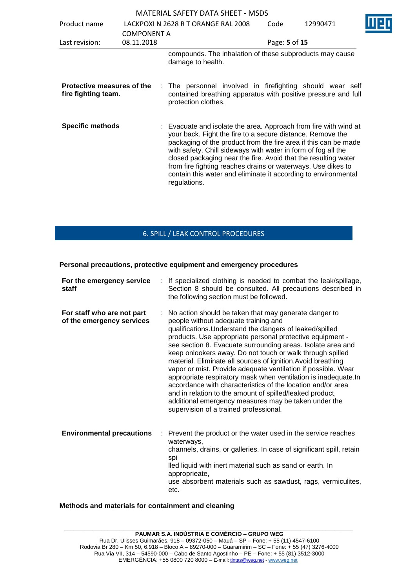| <b>MATERIAL SAFETY DATA SHEET - MSDS</b>          |                    |                                                                                                                                                                                                                                                                                                                                                                                                                                                                                        |               |          |
|---------------------------------------------------|--------------------|----------------------------------------------------------------------------------------------------------------------------------------------------------------------------------------------------------------------------------------------------------------------------------------------------------------------------------------------------------------------------------------------------------------------------------------------------------------------------------------|---------------|----------|
| Product name                                      |                    | LACKPOXI N 2628 R T ORANGE RAL 2008                                                                                                                                                                                                                                                                                                                                                                                                                                                    | Code          | 12990471 |
|                                                   | <b>COMPONENT A</b> |                                                                                                                                                                                                                                                                                                                                                                                                                                                                                        |               |          |
| Last revision:                                    | 08.11.2018         |                                                                                                                                                                                                                                                                                                                                                                                                                                                                                        | Page: 5 of 15 |          |
|                                                   |                    | compounds. The inhalation of these subproducts may cause<br>damage to health.                                                                                                                                                                                                                                                                                                                                                                                                          |               |          |
| Protective measures of the<br>fire fighting team. |                    | : The personnel involved in firefighting should wear self<br>contained breathing apparatus with positive pressure and full<br>protection clothes.                                                                                                                                                                                                                                                                                                                                      |               |          |
| <b>Specific methods</b>                           |                    | : Evacuate and isolate the area. Approach from fire with wind at<br>your back. Fight the fire to a secure distance. Remove the<br>packaging of the product from the fire area if this can be made<br>with safety. Chill sideways with water in form of fog all the<br>closed packaging near the fire. Avoid that the resulting water<br>from fire fighting reaches drains or waterways. Use dikes to<br>contain this water and eliminate it according to environmental<br>regulations. |               |          |

# 6. SPILL / LEAK CONTROL PROCEDURES

#### **Personal precautions, protective equipment and emergency procedures**

| For the emergency service<br>staff                      | : If specialized clothing is needed to combat the leak/spillage,<br>Section 8 should be consulted. All precautions described in<br>the following section must be followed.                                                                                                                                                                                                                                                                                                                                                                                                                                                                                                                                                                                                            |
|---------------------------------------------------------|---------------------------------------------------------------------------------------------------------------------------------------------------------------------------------------------------------------------------------------------------------------------------------------------------------------------------------------------------------------------------------------------------------------------------------------------------------------------------------------------------------------------------------------------------------------------------------------------------------------------------------------------------------------------------------------------------------------------------------------------------------------------------------------|
| For staff who are not part<br>of the emergency services | : No action should be taken that may generate danger to<br>people without adequate training and<br>qualifications. Understand the dangers of leaked/spilled<br>products. Use appropriate personal protective equipment -<br>see section 8. Evacuate surrounding areas. Isolate area and<br>keep onlookers away. Do not touch or walk through spilled<br>material. Eliminate all sources of ignition. Avoid breathing<br>vapor or mist. Provide adequate ventilation if possible. Wear<br>appropriate respiratory mask when ventilation is inadequate. In<br>accordance with characteristics of the location and/or area<br>and in relation to the amount of spilled/leaked product,<br>additional emergency measures may be taken under the<br>supervision of a trained professional. |
| <b>Environmental precautions</b><br>÷.                  | Prevent the product or the water used in the service reaches<br>waterways,<br>channels, drains, or galleries. In case of significant spill, retain<br>spi<br>lled liquid with inert material such as sand or earth. In<br>approprieate,<br>use absorbent materials such as sawdust, rags, vermiculites,<br>etc.                                                                                                                                                                                                                                                                                                                                                                                                                                                                       |

#### **Methods and materials for containment and cleaning**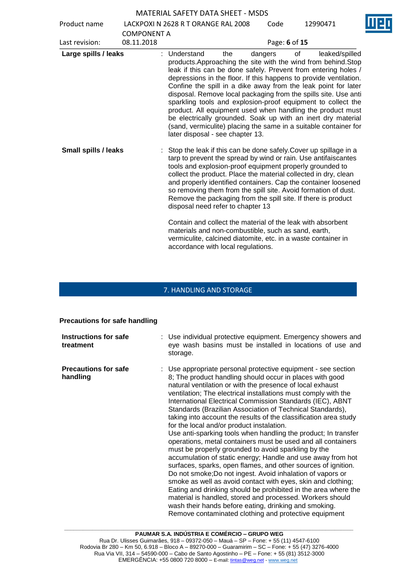| Product name                |                    | LACKPOXI N 2628 R T ORANGE RAL 2008                                                                                                                                                                                                                                                                                                                                                                                                                                                                                                                                                                                                                            |     | Code          |    | 12990471       |
|-----------------------------|--------------------|----------------------------------------------------------------------------------------------------------------------------------------------------------------------------------------------------------------------------------------------------------------------------------------------------------------------------------------------------------------------------------------------------------------------------------------------------------------------------------------------------------------------------------------------------------------------------------------------------------------------------------------------------------------|-----|---------------|----|----------------|
|                             | <b>COMPONENT A</b> |                                                                                                                                                                                                                                                                                                                                                                                                                                                                                                                                                                                                                                                                |     |               |    |                |
| Last revision:              | 08.11.2018         |                                                                                                                                                                                                                                                                                                                                                                                                                                                                                                                                                                                                                                                                |     | Page: 6 of 15 |    |                |
| Large spills / leaks        |                    | Understand<br>products. Approaching the site with the wind from behind. Stop<br>leak if this can be done safely. Prevent from entering holes /<br>depressions in the floor. If this happens to provide ventilation.<br>Confine the spill in a dike away from the leak point for later<br>disposal. Remove local packaging from the spills site. Use anti<br>sparkling tools and explosion-proof equipment to collect the<br>product. All equipment used when handling the product must<br>be electrically grounded. Soak up with an inert dry material<br>(sand, vermiculite) placing the same in a suitable container for<br>later disposal - see chapter 13. | the | dangers       | οf | leaked/spilled |
| <b>Small spills / leaks</b> |                    | Stop the leak if this can be done safely Cover up spillage in a<br>tarp to prevent the spread by wind or rain. Use antifaiscantes<br>tools and explosion-proof equipment properly grounded to<br>collect the product. Place the material collected in dry, clean<br>and properly identified containers. Cap the container loosened<br>so removing them from the spill site. Avoid formation of dust.<br>Remove the packaging from the spill site. If there is product<br>disposal need refer to chapter 13                                                                                                                                                     |     |               |    |                |
|                             |                    | Contain and collect the material of the leak with absorbent<br>materials and non-combustible, such as sand, earth,<br>vermiculite, calcined diatomite, etc. in a waste container in<br>accordance with local regulations.                                                                                                                                                                                                                                                                                                                                                                                                                                      |     |               |    |                |

# 7. HANDLING AND STORAGE

# **Precautions for safe handling**

| Instructions for safe<br>treatment      | : Use individual protective equipment. Emergency showers and<br>eye wash basins must be installed in locations of use and<br>storage.                                                                                                                                                                                                                                                                                                                                                                                                                                                                                                                                                                                                                                                                                                                                                                                                                                                                                                                                                                                                                                                                       |
|-----------------------------------------|-------------------------------------------------------------------------------------------------------------------------------------------------------------------------------------------------------------------------------------------------------------------------------------------------------------------------------------------------------------------------------------------------------------------------------------------------------------------------------------------------------------------------------------------------------------------------------------------------------------------------------------------------------------------------------------------------------------------------------------------------------------------------------------------------------------------------------------------------------------------------------------------------------------------------------------------------------------------------------------------------------------------------------------------------------------------------------------------------------------------------------------------------------------------------------------------------------------|
| <b>Precautions for safe</b><br>handling | : Use appropriate personal protective equipment - see section<br>8; The product handling should occur in places with good<br>natural ventilation or with the presence of local exhaust<br>ventilation; The electrical installations must comply with the<br>International Electrical Commission Standards (IEC), ABNT<br>Standards (Brazilian Association of Technical Standards),<br>taking into account the results of the classification area study<br>for the local and/or product instalation.<br>Use anti-sparking tools when handling the product; In transfer<br>operations, metal containers must be used and all containers<br>must be properly grounded to avoid sparkling by the<br>accumulation of static energy; Handle and use away from hot<br>surfaces, sparks, open flames, and other sources of ignition.<br>Do not smoke; Do not ingest. Avoid inhalation of vapors or<br>smoke as well as avoid contact with eyes, skin and clothing;<br>Eating and drinking should be prohibited in the area where the<br>material is handled, stored and processed. Workers should<br>wash their hands before eating, drinking and smoking.<br>Remove contaminated clothing and protective equipment |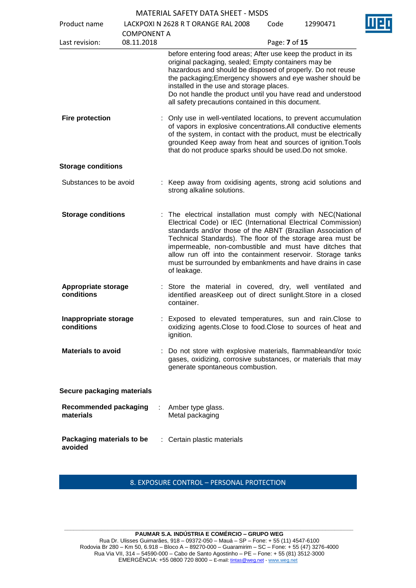| Product name                              |                                  | LACKPOXI N 2628 R T ORANGE RAL 2008<br>Code                                                                                                                                                                                                                                                                                                                                                                                                                       | П<br>12990471 |
|-------------------------------------------|----------------------------------|-------------------------------------------------------------------------------------------------------------------------------------------------------------------------------------------------------------------------------------------------------------------------------------------------------------------------------------------------------------------------------------------------------------------------------------------------------------------|---------------|
| Last revision:                            | <b>COMPONENT A</b><br>08.11.2018 |                                                                                                                                                                                                                                                                                                                                                                                                                                                                   | Page: 7 of 15 |
|                                           |                                  | before entering food areas; After use keep the product in its<br>original packaging, sealed; Empty containers may be<br>hazardous and should be disposed of properly. Do not reuse<br>the packaging; Emergency showers and eye washer should be<br>installed in the use and storage places.<br>Do not handle the product until you have read and understood<br>all safety precautions contained in this document.                                                 |               |
| <b>Fire protection</b>                    |                                  | : Only use in well-ventilated locations, to prevent accumulation<br>of vapors in explosive concentrations. All conductive elements<br>of the system, in contact with the product, must be electrically<br>grounded Keep away from heat and sources of ignition. Tools<br>that do not produce sparks should be used. Do not smoke.                                                                                                                                 |               |
| <b>Storage conditions</b>                 |                                  |                                                                                                                                                                                                                                                                                                                                                                                                                                                                   |               |
| Substances to be avoid                    |                                  | : Keep away from oxidising agents, strong acid solutions and<br>strong alkaline solutions.                                                                                                                                                                                                                                                                                                                                                                        |               |
| <b>Storage conditions</b>                 |                                  | : The electrical installation must comply with NEC(National<br>Electrical Code) or IEC (International Electrical Commission)<br>standards and/or those of the ABNT (Brazilian Association of<br>Technical Standards). The floor of the storage area must be<br>impermeable, non-combustible and must have ditches that<br>allow run off into the containment reservoir. Storage tanks<br>must be surrounded by embankments and have drains in case<br>of leakage. |               |
| <b>Appropriate storage</b><br>conditions  |                                  | : Store the material in covered, dry, well ventilated and<br>identified areasKeep out of direct sunlight. Store in a closed<br>container.                                                                                                                                                                                                                                                                                                                         |               |
| Inappropriate storage<br>conditions       |                                  | : Exposed to elevated temperatures, sun and rain. Close to<br>oxidizing agents. Close to food. Close to sources of heat and<br>ignition.                                                                                                                                                                                                                                                                                                                          |               |
| <b>Materials to avoid</b>                 |                                  | Do not store with explosive materials, flammableand/or toxic<br>gases, oxidizing, corrosive substances, or materials that may<br>generate spontaneous combustion.                                                                                                                                                                                                                                                                                                 |               |
| Secure packaging materials                |                                  |                                                                                                                                                                                                                                                                                                                                                                                                                                                                   |               |
| <b>Recommended packaging</b><br>materials |                                  | Amber type glass.<br>Metal packaging                                                                                                                                                                                                                                                                                                                                                                                                                              |               |
| Packaging materials to be<br>avoided      |                                  | : Certain plastic materials                                                                                                                                                                                                                                                                                                                                                                                                                                       |               |

8. EXPOSURE CONTROL – PERSONAL PROTECTION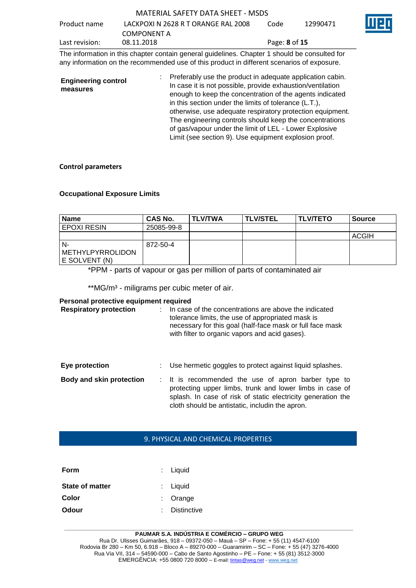| MATERIAL SAFETY DATA SHEET - MSDS |  |
|-----------------------------------|--|
|                                   |  |

| Product name   | LACKPOXI N 2628 R T ORANGE RAL 2008 | Code                        | 12990471 | ШE |
|----------------|-------------------------------------|-----------------------------|----------|----|
|                | COMPONENT A                         |                             |          |    |
| Last revision: | 08.11.2018                          | Page: <b>8</b> of <b>15</b> |          |    |

The information in this chapter contain general guidelines. Chapter 1 should be consulted for any information on the recommended use of this product in different scenarios of exposure.

| <b>Engineering control</b><br>measures | Preferably use the product in adequate application cabin.<br>In case it is not possible, provide exhaustion/ventilation<br>enough to keep the concentration of the agents indicated<br>in this section under the limits of tolerance (L.T.), |
|----------------------------------------|----------------------------------------------------------------------------------------------------------------------------------------------------------------------------------------------------------------------------------------------|
|                                        | otherwise, use adequate respiratory protection equipment.<br>The engineering controls should keep the concentrations                                                                                                                         |
|                                        | of gas/vapour under the limit of LEL - Lower Explosive<br>Limit (see section 9). Use equipment explosion proof.                                                                                                                              |

#### **Control parameters**

#### **Occupational Exposure Limits**

| <b>Name</b>                                    | CAS No.    | I TLV/TWA | <b>TLV/STEL</b> | <b>ITLV/TETO</b> | <b>Source</b> |
|------------------------------------------------|------------|-----------|-----------------|------------------|---------------|
| <b>EPOXI RESIN</b>                             | 25085-99-8 |           |                 |                  |               |
|                                                |            |           |                 |                  | ACGIH         |
| N-<br><b>METHYLPYRROLIDON</b><br>E SOLVENT (N) | 872-50-4   |           |                 |                  |               |

\*PPM - parts of vapour or gas per million of parts of contaminated air

\*\* MG/m<sup>3</sup> - miligrams per cubic meter of air.

#### **Personal protective equipment required**

| <b>Respiratory protection</b>   |  | In case of the concentrations are above the indicated<br>tolerance limits, the use of appropriated mask is<br>necessary for this goal (half-face mask or full face mask<br>with filter to organic vapors and acid gases).          |
|---------------------------------|--|------------------------------------------------------------------------------------------------------------------------------------------------------------------------------------------------------------------------------------|
| Eye protection                  |  | Use hermetic goggles to protect against liquid splashes.                                                                                                                                                                           |
| <b>Body and skin protection</b> |  | : It is recommended the use of apron barber type to<br>protecting upper limbs, trunk and lower limbs in case of<br>splash. In case of risk of static electricity generation the<br>cloth should be antistatic, includin the apron. |

## 9. PHYSICAL AND CHEMICAL PROPERTIES

| $:$ Liquid    |
|---------------|
| $:$ Liquid    |
| $:$ Orange    |
| : Distinctive |
|               |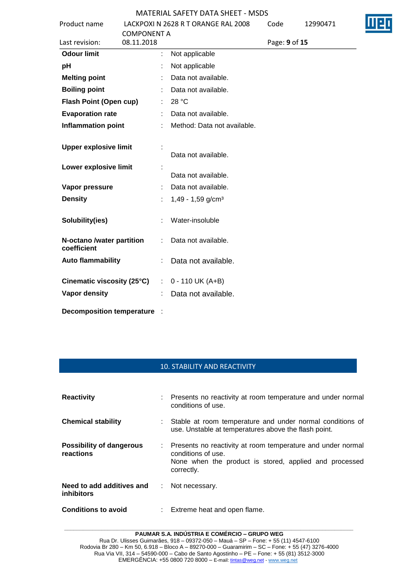| Product name                             | LACKPOXI N 2628 R T ORANGE RAL 2008 | Code          | 12990471 |  |
|------------------------------------------|-------------------------------------|---------------|----------|--|
|                                          | <b>COMPONENT A</b>                  |               |          |  |
| Last revision:                           | 08.11.2018                          | Page: 9 of 15 |          |  |
| <b>Odour limit</b>                       | ÷.<br>Not applicable                |               |          |  |
| pH                                       | Not applicable                      |               |          |  |
| <b>Melting point</b>                     | Data not available.                 |               |          |  |
| <b>Boiling point</b>                     | Data not available.                 |               |          |  |
| Flash Point (Open cup)                   | 28 °C<br>÷.                         |               |          |  |
| <b>Evaporation rate</b>                  | Data not available.                 |               |          |  |
| <b>Inflammation point</b>                | Method: Data not available.         |               |          |  |
| <b>Upper explosive limit</b>             |                                     |               |          |  |
|                                          | Data not available.                 |               |          |  |
| Lower explosive limit                    |                                     |               |          |  |
|                                          | Data not available.                 |               |          |  |
| Vapor pressure                           | Data not available.                 |               |          |  |
| <b>Density</b>                           | $1,49 - 1,59$ g/cm <sup>3</sup>     |               |          |  |
| Solubility(ies)                          | Water-insoluble                     |               |          |  |
| N-octano /water partition<br>coefficient | Data not available.                 |               |          |  |
| <b>Auto flammability</b>                 | Data not available.                 |               |          |  |
| Cinematic viscosity (25°C)               | $: 0 - 110$ UK (A+B)                |               |          |  |
| <b>Vapor density</b>                     | Data not available.                 |               |          |  |
| <b>Decomposition temperature</b>         |                                     |               |          |  |

#### 10. STABILITY AND REACTIVITY

| <b>Reactivity</b>                            |    | : Presents no reactivity at room temperature and under normal<br>conditions of use.                                                                         |
|----------------------------------------------|----|-------------------------------------------------------------------------------------------------------------------------------------------------------------|
| <b>Chemical stability</b>                    |    | Stable at room temperature and under normal conditions of<br>use. Unstable at temperatures above the flash point.                                           |
| <b>Possibility of dangerous</b><br>reactions |    | : Presents no reactivity at room temperature and under normal<br>conditions of use.<br>None when the product is stored, applied and processed<br>correctly. |
| Need to add additives and<br>inhibitors      | ÷. | Not necessary.                                                                                                                                              |
| <b>Conditions to avoid</b>                   | t. | Extreme heat and open flame.                                                                                                                                |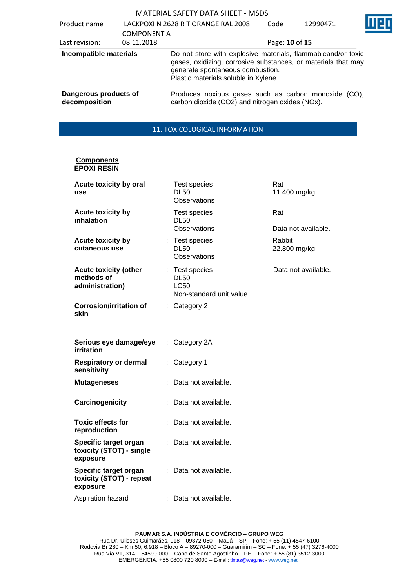| Product name                           | <b>COMPONENT A</b> | LACKPOXI N 2628 R T ORANGE RAL 2008                                                                                                                                                                       | Code           | 12990471 |  |
|----------------------------------------|--------------------|-----------------------------------------------------------------------------------------------------------------------------------------------------------------------------------------------------------|----------------|----------|--|
| Last revision:                         | 08.11.2018         |                                                                                                                                                                                                           | Page: 10 of 15 |          |  |
| Incompatible materials                 |                    | Do not store with explosive materials, flammableand/or toxic<br>gases, oxidizing, corrosive substances, or materials that may<br>generate spontaneous combustion.<br>Plastic materials soluble in Xylene. |                |          |  |
| Dangerous products of<br>decomposition |                    | Produces noxious gases such as carbon monoxide (CO),<br>carbon dioxide (CO2) and nitrogen oxides (NOx).                                                                                                   |                |          |  |

# 11. TOXICOLOGICAL INFORMATION

#### **Components EPOXI RESIN**

| Acute toxicity by oral<br>use                                 |    | Test species<br><b>DL50</b><br>Observations                             | Rat<br>11.400 mg/kg    |
|---------------------------------------------------------------|----|-------------------------------------------------------------------------|------------------------|
| <b>Acute toxicity by</b><br>inhalation                        |    | Test species<br><b>DL50</b>                                             | Rat                    |
|                                                               |    | <b>Observations</b>                                                     | Data not available.    |
| <b>Acute toxicity by</b><br>cutaneous use                     |    | : Test species<br><b>DL50</b><br>Observations                           | Rabbit<br>22.800 mg/kg |
| <b>Acute toxicity (other</b><br>methods of<br>administration) |    | : Test species<br><b>DL50</b><br><b>LC50</b><br>Non-standard unit value | Data not available.    |
| <b>Corrosion/irritation of</b><br>skin                        |    | $:$ Category 2                                                          |                        |
| Serious eye damage/eye<br>irritation                          | ÷. | Category 2A                                                             |                        |
| <b>Respiratory or dermal</b><br>sensitivity                   | ÷. | Category 1                                                              |                        |
| <b>Mutageneses</b>                                            |    | Data not available.                                                     |                        |
| Carcinogenicity                                               |    | Data not available.                                                     |                        |
| <b>Toxic effects for</b><br>reproduction                      |    | Data not available.                                                     |                        |
| Specific target organ<br>toxicity (STOT) - single<br>exposure |    | Data not available.                                                     |                        |
| Specific target organ<br>toxicity (STOT) - repeat<br>exposure |    | : Data not available.                                                   |                        |
| Aspiration hazard                                             |    | : Data not available.                                                   |                        |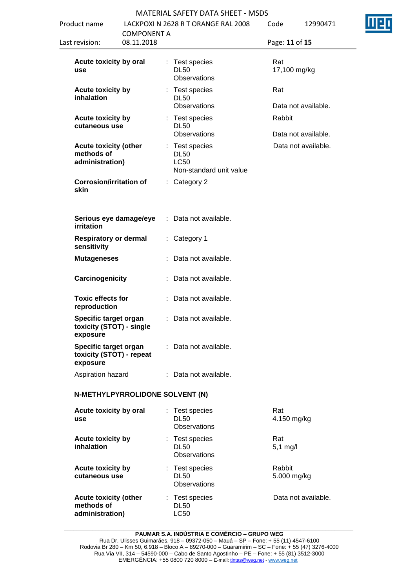| Product name                                                  |                                  | LACKPOXI N 2628 R T ORANGE RAL 2008                                     | Code<br>12990471              |  |
|---------------------------------------------------------------|----------------------------------|-------------------------------------------------------------------------|-------------------------------|--|
| Last revision:                                                | <b>COMPONENT A</b><br>08.11.2018 |                                                                         | Page: 11 of 15                |  |
| Acute toxicity by oral<br>use                                 |                                  | : Test species<br><b>DL50</b><br>Observations                           | Rat<br>17,100 mg/kg           |  |
| <b>Acute toxicity by</b><br>inhalation                        |                                  | Test species<br><b>DL50</b><br>Observations                             | Rat<br>Data not available.    |  |
| <b>Acute toxicity by</b><br>cutaneous use                     |                                  | : Test species<br><b>DL50</b><br>Observations                           | Rabbit<br>Data not available. |  |
| <b>Acute toxicity (other</b><br>methods of<br>administration) |                                  | : Test species<br><b>DL50</b><br><b>LC50</b><br>Non-standard unit value | Data not available.           |  |
| <b>Corrosion/irritation of</b><br>skin                        |                                  | $:$ Category 2                                                          |                               |  |
| Serious eye damage/eye<br>irritation                          |                                  | : Data not available.                                                   |                               |  |
| <b>Respiratory or dermal</b><br>sensitivity                   |                                  | : Category 1                                                            |                               |  |
| <b>Mutageneses</b>                                            |                                  | : Data not available.                                                   |                               |  |
| Carcinogenicity                                               |                                  | : Data not available.                                                   |                               |  |
| <b>Toxic effects for</b><br>reproduction                      |                                  | : Data not available.                                                   |                               |  |
| Specific target organ<br>toxicity (STOT) - single<br>exposure |                                  | : Data not available.                                                   |                               |  |
| Specific target organ<br>toxicity (STOT) - repeat<br>exposure |                                  | : Data not available.                                                   |                               |  |
| Aspiration hazard                                             |                                  | : Data not available.                                                   |                               |  |
| N-METHYLPYRROLIDONE SOLVENT (N)                               |                                  |                                                                         |                               |  |
| Acute toxicity by oral<br>use                                 | t.                               | Test species<br><b>DL50</b><br>Observations                             | Rat<br>4.150 mg/kg            |  |
| <b>Acute toxicity by</b><br>inhalation                        |                                  | : Test species<br><b>DL50</b><br>Observations                           | Rat<br>$5,1$ mg/l             |  |
| <b>Acute toxicity by</b><br>cutaneous use                     |                                  | : Test species<br><b>DL50</b><br><b>Observations</b>                    | Rabbit<br>5.000 mg/kg         |  |
| <b>Acute toxicity (other</b><br>methods of<br>administration) |                                  | : Test species<br><b>DL50</b><br><b>LC50</b>                            | Data not available.           |  |

#### **\_\_\_\_\_\_\_\_\_\_\_\_\_\_\_\_\_\_\_\_\_\_\_\_\_\_\_\_\_\_\_\_\_\_\_\_\_\_\_\_\_\_\_\_\_\_\_\_\_\_\_\_\_\_\_\_\_\_\_\_\_\_\_\_\_\_\_\_\_\_\_\_\_\_\_\_\_\_\_\_\_\_\_\_\_\_\_\_\_\_\_\_\_ PAUMAR S.A. INDÚSTRIA E COMÉRCIO – GRUPO WEG**

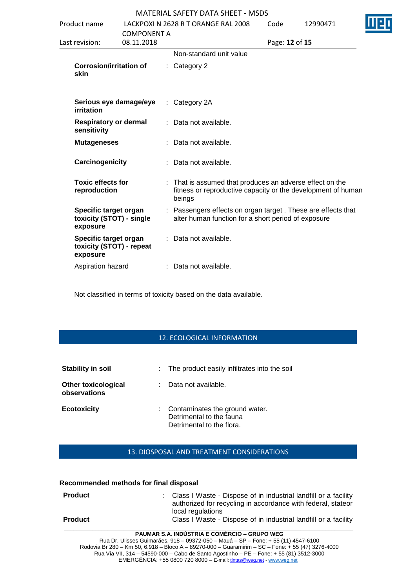| Product name                                                  |                           |   | LACKPOXI N 2628 R T ORANGE RAL 2008                                                                                              | Code           | 12990471 |  |
|---------------------------------------------------------------|---------------------------|---|----------------------------------------------------------------------------------------------------------------------------------|----------------|----------|--|
| Last revision:                                                | COMPONENT A<br>08.11.2018 |   |                                                                                                                                  | Page: 12 of 15 |          |  |
|                                                               |                           |   | Non-standard unit value                                                                                                          |                |          |  |
| <b>Corrosion/irritation of</b><br>skin                        |                           |   | $:$ Category 2                                                                                                                   |                |          |  |
| Serious eye damage/eye<br>irritation                          |                           |   | $:$ Category 2A                                                                                                                  |                |          |  |
| <b>Respiratory or dermal</b><br>sensitivity                   |                           |   | : Data not available.                                                                                                            |                |          |  |
| <b>Mutageneses</b>                                            |                           |   | : Data not available.                                                                                                            |                |          |  |
| Carcinogenicity                                               |                           |   | : Data not available.                                                                                                            |                |          |  |
| <b>Toxic effects for</b><br>reproduction                      |                           | ÷ | That is assumed that produces an adverse effect on the<br>fitness or reproductive capacity or the development of human<br>beings |                |          |  |
| Specific target organ<br>toxicity (STOT) - single<br>exposure |                           |   | Passengers effects on organ target. These are effects that<br>alter human function for a short period of exposure                |                |          |  |
| Specific target organ<br>toxicity (STOT) - repeat<br>exposure |                           |   | Data not available.                                                                                                              |                |          |  |
| Aspiration hazard                                             |                           |   | Data not available.                                                                                                              |                |          |  |
|                                                               |                           |   |                                                                                                                                  |                |          |  |

Not classified in terms of toxicity based on the data available.

## 12. ECOLOGICAL INFORMATION

| Stability in soil                          | : The product easily infiltrates into the soil                                            |
|--------------------------------------------|-------------------------------------------------------------------------------------------|
| <b>Other toxicological</b><br>observations | Data not available.                                                                       |
| <b>Ecotoxicity</b>                         | : Contaminates the ground water.<br>Detrimental to the fauna<br>Detrimental to the flora. |

## 13. DIOSPOSAL AND TREATMENT CONSIDERATIONS

#### **Recommended methods for final disposal**

| <b>Product</b> | : Class I Waste - Dispose of in industrial landfill or a facility<br>authorized for recycling in accordance with federal, stateor<br>local regulations |
|----------------|--------------------------------------------------------------------------------------------------------------------------------------------------------|
| <b>Product</b> | Class I Waste - Dispose of in industrial landfill or a facility                                                                                        |

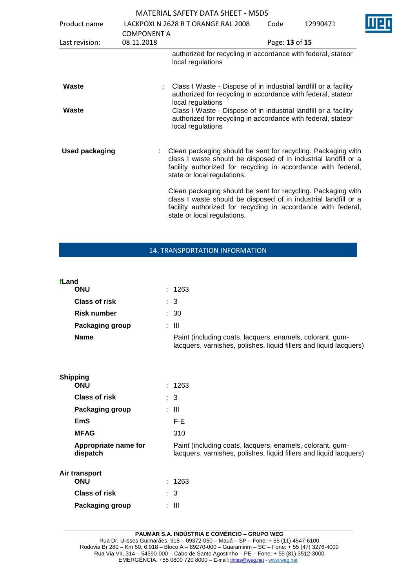| Product name          | <b>COMPONENT A</b> | LACKPOXI N 2628 R T ORANGE RAL 2008                                                                                                                                                                                               | Code           | 12990471 |  |
|-----------------------|--------------------|-----------------------------------------------------------------------------------------------------------------------------------------------------------------------------------------------------------------------------------|----------------|----------|--|
| Last revision:        | 08.11.2018         |                                                                                                                                                                                                                                   | Page: 13 of 15 |          |  |
|                       |                    | authorized for recycling in accordance with federal, stateor<br>local regulations                                                                                                                                                 |                |          |  |
| Waste                 |                    | Class I Waste - Dispose of in industrial landfill or a facility<br>authorized for recycling in accordance with federal, stateor<br>local regulations                                                                              |                |          |  |
| Waste                 |                    | Class I Waste - Dispose of in industrial landfill or a facility<br>authorized for recycling in accordance with federal, stateor<br>local regulations                                                                              |                |          |  |
| <b>Used packaging</b> |                    | : Clean packaging should be sent for recycling. Packaging with<br>class I waste should be disposed of in industrial landfill or a<br>facility authorized for recycling in accordance with federal,<br>state or local regulations. |                |          |  |
|                       |                    | Clean packaging should be sent for recycling. Packaging with<br>class I waste should be disposed of in industrial landfill or a<br>facility authorized for recycling in accordance with federal,<br>state or local regulations.   |                |          |  |

# 14. TRANSPORTATION INFORMATION

| fLand<br>ONU           | : 1263                                                                                                                          |
|------------------------|---------------------------------------------------------------------------------------------------------------------------------|
| <b>Class of risk</b>   | : 3                                                                                                                             |
| <b>Risk number</b>     | $\therefore$ 30                                                                                                                 |
| <b>Packaging group</b> | : III                                                                                                                           |
| <b>Name</b>            | Paint (including coats, lacquers, enamels, colorant, gum-<br>lacquers, varnishes, polishes, liquid fillers and liquid lacquers) |

| <b>Shipping</b>                  |                                                                                                                                 |
|----------------------------------|---------------------------------------------------------------------------------------------------------------------------------|
| <b>ONU</b>                       | : 1263                                                                                                                          |
| <b>Class of risk</b>             | $\therefore$ 3                                                                                                                  |
| Packaging group                  | : III                                                                                                                           |
| EmS                              | F-E                                                                                                                             |
| <b>MFAG</b>                      | 310                                                                                                                             |
| Appropriate name for<br>dispatch | Paint (including coats, lacquers, enamels, colorant, gum-<br>lacquers, varnishes, polishes, liquid fillers and liquid lacquers) |
| Air transport<br><b>ONU</b>      | : 1263                                                                                                                          |
| <b>Class of risk</b>             | $\therefore$ 3                                                                                                                  |
| Packaging group                  | : III                                                                                                                           |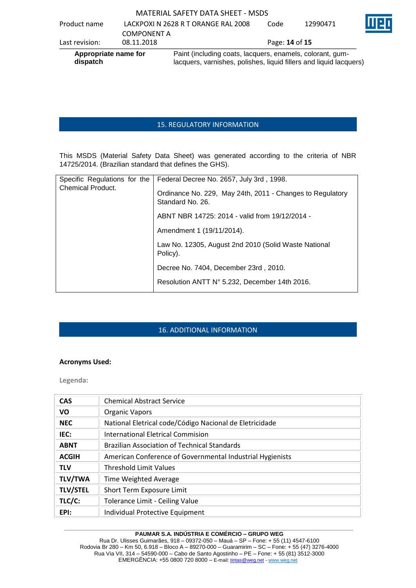| Appropriate name for<br>dispatch |                    | Paint (including coats, lacquers, enamels, colorant, gum-<br>lacquers, varnishes, polishes, liquid fillers and liquid lacquers) |                       |          |   |
|----------------------------------|--------------------|---------------------------------------------------------------------------------------------------------------------------------|-----------------------|----------|---|
| Last revision:                   | 08.11.2018         |                                                                                                                                 | Page: <b>14 of 15</b> |          |   |
|                                  | <b>COMPONENT A</b> |                                                                                                                                 |                       |          |   |
| Product name                     |                    | LACKPOXI N 2628 R T ORANGE RAL 2008                                                                                             | Code                  | 12990471 | Ш |

### 15. REGULATORY INFORMATION

This MSDS (Material Safety Data Sheet) was generated according to the criteria of NBR 14725/2014. (Brazilian standard that defines the GHS).

| Specific Regulations for the | Federal Decree No. 2657, July 3rd, 1998.                                      |
|------------------------------|-------------------------------------------------------------------------------|
| <b>Chemical Product.</b>     | Ordinance No. 229, May 24th, 2011 - Changes to Regulatory<br>Standard No. 26. |
|                              | ABNT NBR 14725: 2014 - valid from 19/12/2014 -                                |
|                              | Amendment 1 (19/11/2014).                                                     |
|                              | Law No. 12305, August 2nd 2010 (Solid Waste National<br>Policy).              |
|                              | Decree No. 7404, December 23rd, 2010.                                         |
|                              | Resolution ANTT N° 5.232, December 14th 2016.                                 |

## 16. ADDITIONAL INFORMATION

#### **Acronyms Used:**

**Legenda:**

| <b>CAS</b>      | <b>Chemical Abstract Service</b>                          |
|-----------------|-----------------------------------------------------------|
| <b>VO</b>       | <b>Organic Vapors</b>                                     |
| <b>NEC</b>      | National Eletrical code/Código Nacional de Eletricidade   |
| IEC:            | International Eletrical Commision                         |
| <b>ABNT</b>     | <b>Brazilian Association of Technical Standards</b>       |
| <b>ACGIH</b>    | American Conference of Governmental Industrial Hygienists |
| <b>TLV</b>      | <b>Threshold Limit Values</b>                             |
| <b>TLV/TWA</b>  | Time Weighted Average                                     |
| <b>TLV/STEL</b> | Short Term Exposure Limit                                 |
| TLC/C:          | Tolerance Limit - Ceiling Value                           |
| EPI:            | Individual Protective Equipment                           |

#### **\_\_\_\_\_\_\_\_\_\_\_\_\_\_\_\_\_\_\_\_\_\_\_\_\_\_\_\_\_\_\_\_\_\_\_\_\_\_\_\_\_\_\_\_\_\_\_\_\_\_\_\_\_\_\_\_\_\_\_\_\_\_\_\_\_\_\_\_\_\_\_\_\_\_\_\_\_\_\_\_\_\_\_\_\_\_\_\_\_\_\_\_\_ PAUMAR S.A. INDÚSTRIA E COMÉRCIO – GRUPO WEG**